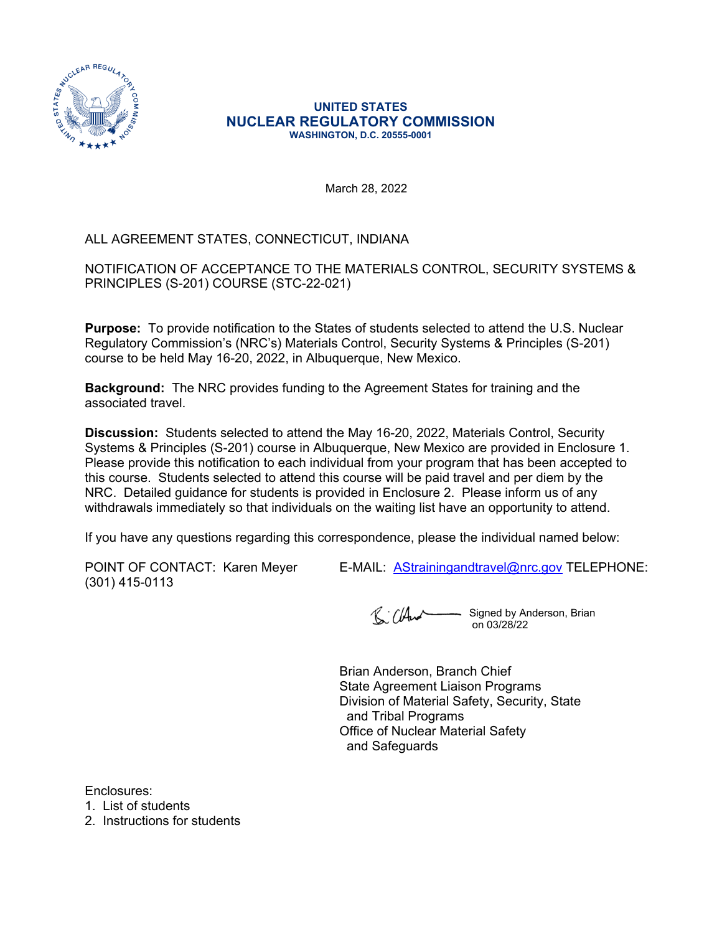

#### **UNITED STATES NUCLEAR REGULATORY COMMISSION WASHINGTON, D.C. 20555-0001**

March 28, 2022

# ALL AGREEMENT STATES, CONNECTICUT, INDIANA

NOTIFICATION OF ACCEPTANCE TO THE MATERIALS CONTROL, SECURITY SYSTEMS & PRINCIPLES (S-201) COURSE (STC-22-021)

**Purpose:** To provide notification to the States of students selected to attend the U.S. Nuclear Regulatory Commission's (NRC's) Materials Control, Security Systems & Principles (S-201) course to be held May 16-20, 2022, in Albuquerque, New Mexico.

**Background:** The NRC provides funding to the Agreement States for training and the associated travel.

**Discussion:** Students selected to attend the May 16-20, 2022, Materials Control, Security Systems & Principles (S-201) course in Albuquerque, New Mexico are provided in Enclosure 1. Please provide this notification to each individual from your program that has been accepted to this course. Students selected to attend this course will be paid travel and per diem by the NRC. Detailed guidance for students is provided in Enclosure 2. Please inform us of any withdrawals immediately so that individuals on the waiting list have an opportunity to attend.

If you have any questions regarding this correspondence, please the individual named below:

(301) 415-0113

POINT OF CONTACT: Karen Meyer E-MAIL: [AStrainingandtravel@nrc.gov](mailto:AStrainingandtravel@nrc.gov) TELEPHONE:

R: Church - Signed by Anderson, Brian on 03/28/22

Brian Anderson, Branch Chief State Agreement Liaison Programs Division of Material Safety, Security, State and Tribal Programs Office of Nuclear Material Safety and Safeguards

Enclosures:

1. List of students

2. Instructions for students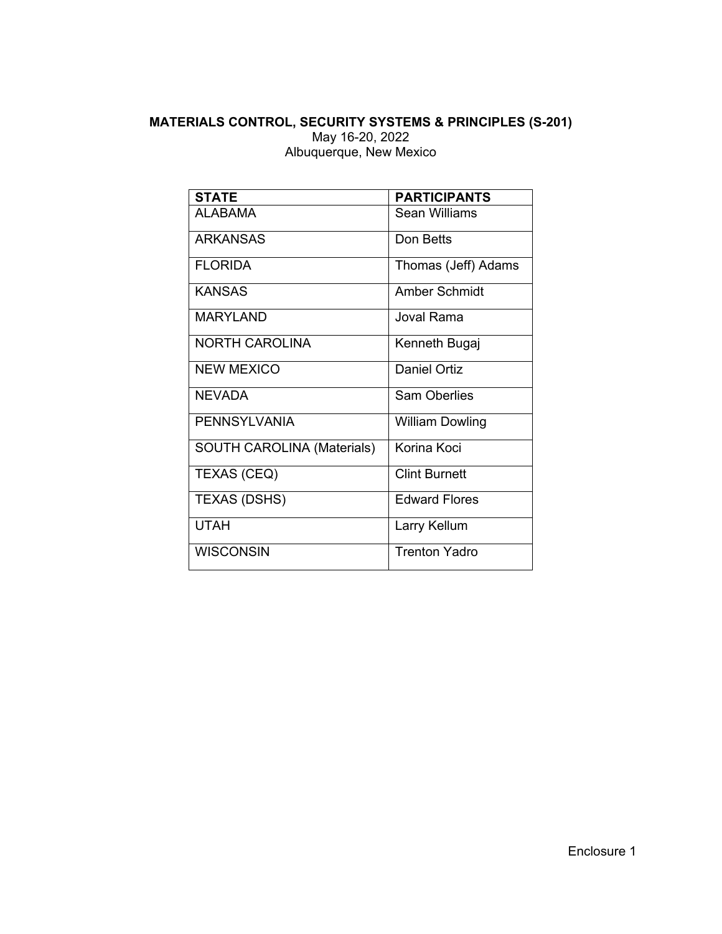### **MATERIALS CONTROL, SECURITY SYSTEMS & PRINCIPLES (S-201)** May 16-20, 2022 Albuquerque, New Mexico

| <b>STATE</b>                      | <b>PARTICIPANTS</b>    |  |  |
|-----------------------------------|------------------------|--|--|
| AI ARAMA                          | Sean Williams          |  |  |
| <b>ARKANSAS</b>                   | Don Betts              |  |  |
| FI ORIDA                          | Thomas (Jeff) Adams    |  |  |
| <b>KANSAS</b>                     | Amber Schmidt          |  |  |
| MARYLAND                          | Joval Rama             |  |  |
| <b>NORTH CAROLINA</b>             | Kenneth Bugaj          |  |  |
| NEW MEXICO                        | <b>Daniel Ortiz</b>    |  |  |
| <b>NFVADA</b>                     | <b>Sam Oberlies</b>    |  |  |
| <b>PENNSYLVANIA</b>               | <b>William Dowling</b> |  |  |
| <b>SOUTH CAROLINA (Materials)</b> | Korina Koci            |  |  |
| <b>TEXAS (CEQ)</b>                | <b>Clint Burnett</b>   |  |  |
| TEXAS (DSHS)                      | <b>Edward Flores</b>   |  |  |
| <b>UTAH</b>                       | Larry Kellum           |  |  |
| <b>WISCONSIN</b>                  | <b>Trenton Yadro</b>   |  |  |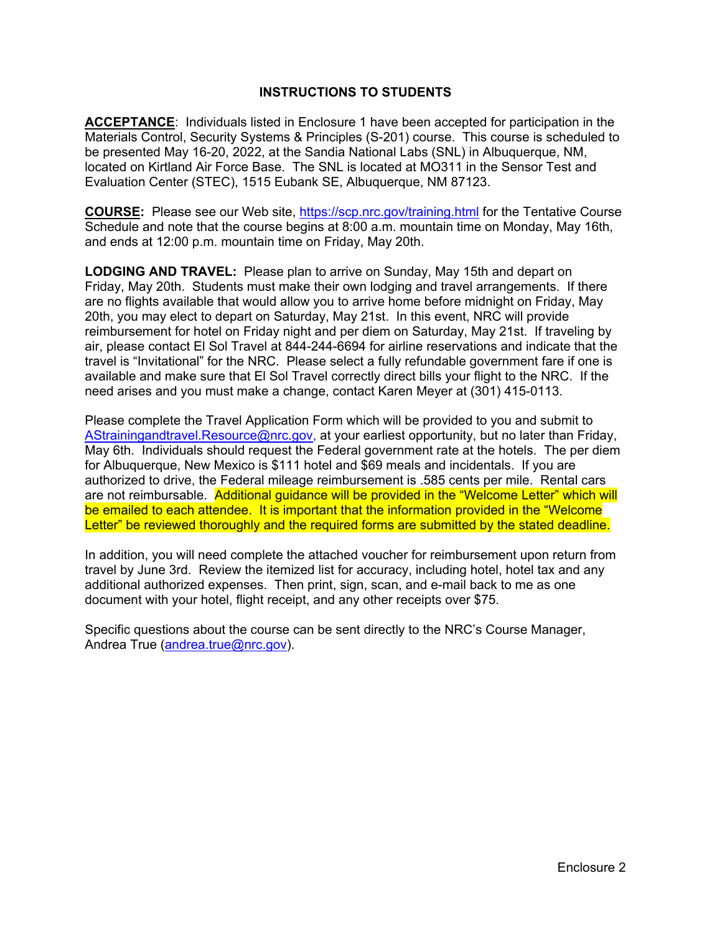#### **INSTRUCTIONS TO STUDENTS**

**ACCEPTANCE**: Individuals listed in Enclosure 1 have been accepted for participation in the Materials Control, Security Systems & Principles (S-201) course. This course is scheduled to be presented May 16-20, 2022, at the Sandia National Labs (SNL) in Albuquerque, NM, located on Kirtland Air Force Base. The SNL is located at MO311 in the Sensor Test and Evaluation Center (STEC), 1515 Eubank SE, Albuquerque, NM 87123.

**COURSE:** Please see our Web site,<https://scp.nrc.gov/training.html> for the Tentative Course Schedule and note that the course begins at 8:00 a.m. mountain time on Monday, May 16th, and ends at 12:00 p.m. mountain time on Friday, May 20th.

**LODGING AND TRAVEL:** Please plan to arrive on Sunday, May 15th and depart on Friday, May 20th. Students must make their own lodging and travel arrangements. If there are no flights available that would allow you to arrive home before midnight on Friday, May 20th, you may elect to depart on Saturday, May 21st. In this event, NRC will provide reimbursement for hotel on Friday night and per diem on Saturday, May 21st. If traveling by air, please contact El Sol Travel at 844-244-6694 for airline reservations and indicate that the travel is "Invitational" for the NRC. Please select a fully refundable government fare if one is available and make sure that El Sol Travel correctly direct bills your flight to the NRC. If the need arises and you must make a change, contact Karen Meyer at (301) 415-0113.

Please complete the Travel Application Form which will be provided to you and submit to [AStrainingandtravel.Resource@nrc.gov](mailto:AStrainingandtravel.Resource@nrc.gov), at your earliest opportunity, but no later than Friday, May 6th. Individuals should request the Federal government rate at the hotels. The per diem for Albuquerque, New Mexico is \$111 hotel and \$69 meals and incidentals. If you are authorized to drive, the Federal mileage reimbursement is .585 cents per mile. Rental cars are not reimbursable. Additional guidance will be provided in the "Welcome Letter" which will be emailed to each attendee. It is important that the information provided in the "Welcome Letter" be reviewed thoroughly and the required forms are submitted by the stated deadline.

In addition, you will need complete the attached voucher for reimbursement upon return from travel by June 3rd. Review the itemized list for accuracy, including hotel, hotel tax and any additional authorized expenses. Then print, sign, scan, and e-mail back to me as one document with your hotel, flight receipt, and any other receipts over \$75.

Specific questions about the course can be sent directly to the NRC's Course Manager, Andrea True ([andrea.true@nrc.gov](mailto:andrea.true@nrc.gov)).